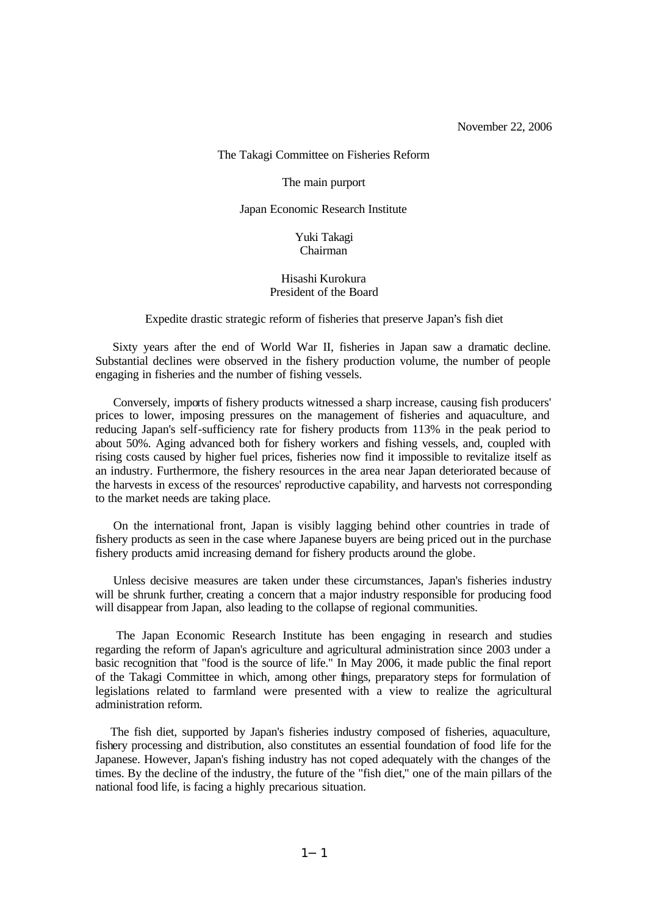The Takagi Committee on Fisheries Reform

The main purport

Japan Economic Research Institute

Yuki Takagi Chairman

### Hisashi Kurokura President of the Board

Expedite drastic strategic reform of fisheries that preserve Japan's fish diet

 Sixty years after the end of World War II, fisheries in Japan saw a dramatic decline. Substantial declines were observed in the fishery production volume, the number of people engaging in fisheries and the number of fishing vessels.

Conversely, imports of fishery products witnessed a sharp increase, causing fish producers' prices to lower, imposing pressures on the management of fisheries and aquaculture, and reducing Japan's self-sufficiency rate for fishery products from 113% in the peak period to about 50%. Aging advanced both for fishery workers and fishing vessels, and, coupled with rising costs caused by higher fuel prices, fisheries now find it impossible to revitalize itself as an industry. Furthermore, the fishery resources in the area near Japan deteriorated because of the harvests in excess of the resources' reproductive capability, and harvests not corresponding to the market needs are taking place.

On the international front, Japan is visibly lagging behind other countries in trade of fishery products as seen in the case where Japanese buyers are being priced out in the purchase fishery products amid increasing demand for fishery products around the globe.

Unless decisive measures are taken under these circumstances, Japan's fisheries industry will be shrunk further, creating a concern that a major industry responsible for producing food will disappear from Japan, also leading to the collapse of regional communities.

 The Japan Economic Research Institute has been engaging in research and studies regarding the reform of Japan's agriculture and agricultural administration since 2003 under a basic recognition that "food is the source of life." In May 2006, it made public the final report of the Takagi Committee in which, among other things, preparatory steps for formulation of legislations related to farmland were presented with a view to realize the agricultural administration reform.

 The fish diet, supported by Japan's fisheries industry composed of fisheries, aquaculture, fishery processing and distribution, also constitutes an essential foundation of food life for the Japanese. However, Japan's fishing industry has not coped adequately with the changes of the times. By the decline of the industry, the future of the "fish diet," one of the main pillars of the national food life, is facing a highly precarious situation.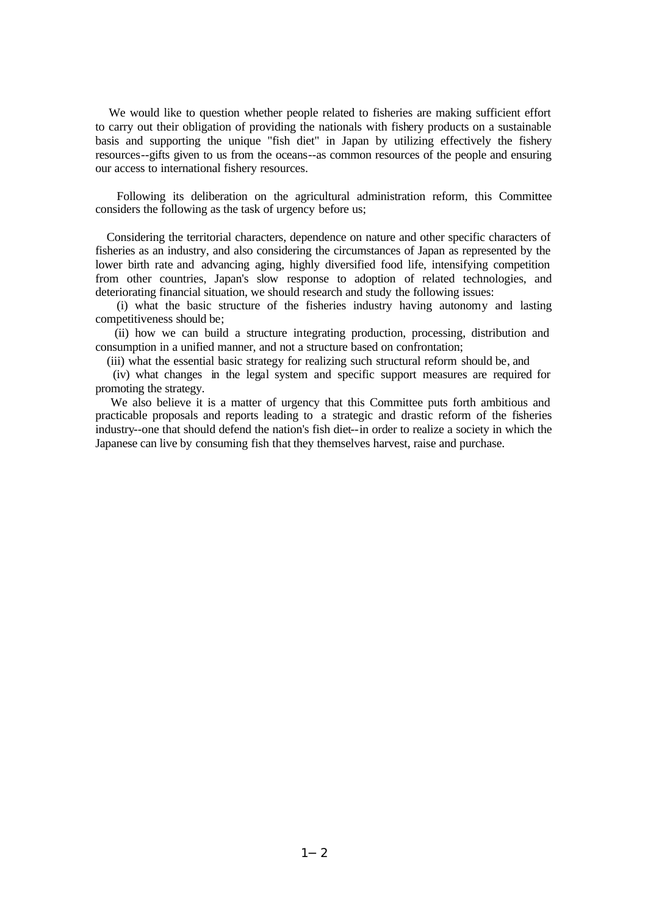We would like to question whether people related to fisheries are making sufficient effort to carry out their obligation of providing the nationals with fishery products on a sustainable basis and supporting the unique "fish diet" in Japan by utilizing effectively the fishery resources--gifts given to us from the oceans--as common resources of the people and ensuring our access to international fishery resources.

 Following its deliberation on the agricultural administration reform, this Committee considers the following as the task of urgency before us;

 Considering the territorial characters, dependence on nature and other specific characters of fisheries as an industry, and also considering the circumstances of Japan as represented by the lower birth rate and advancing aging, highly diversified food life, intensifying competition from other countries, Japan's slow response to adoption of related technologies, and deteriorating financial situation, we should research and study the following issues:

 (i) what the basic structure of the fisheries industry having autonomy and lasting competitiveness should be;

 (ii) how we can build a structure integrating production, processing, distribution and consumption in a unified manner, and not a structure based on confrontation;

(iii) what the essential basic strategy for realizing such structural reform should be, and

 (iv) what changes in the legal system and specific support measures are required for promoting the strategy.

We also believe it is a matter of urgency that this Committee puts forth ambitious and practicable proposals and reports leading to a strategic and drastic reform of the fisheries industry--one that should defend the nation's fish diet--in order to realize a society in which the Japanese can live by consuming fish that they themselves harvest, raise and purchase.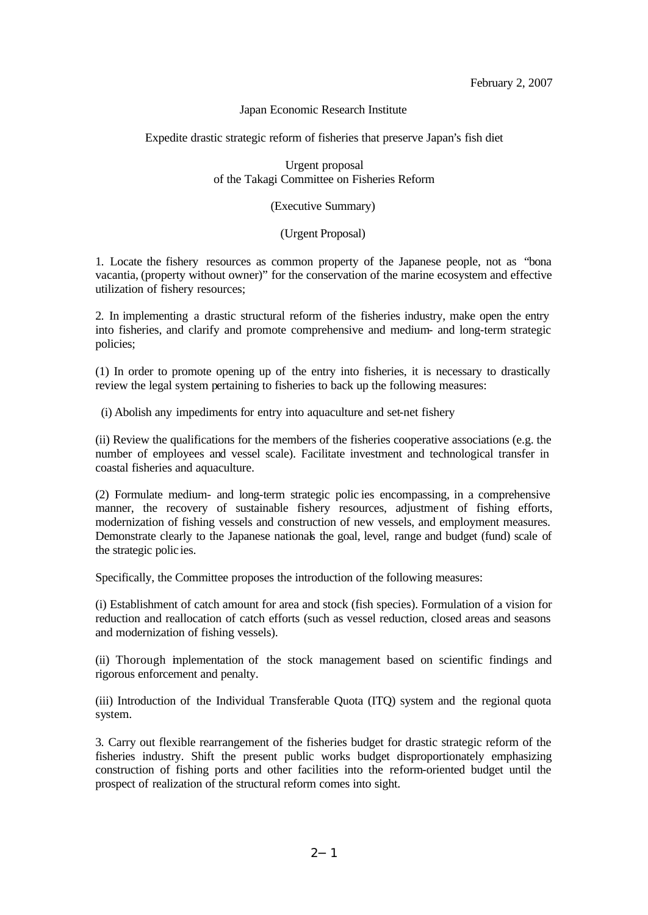February 2, 2007

### Japan Economic Research Institute

Expedite drastic strategic reform of fisheries that preserve Japan's fish diet

Urgent proposal of the Takagi Committee on Fisheries Reform

## (Executive Summary)

# (Urgent Proposal)

1. Locate the fishery resources as common property of the Japanese people, not as "bona vacantia, (property without owner)" for the conservation of the marine ecosystem and effective utilization of fishery resources;

2. In implementing a drastic structural reform of the fisheries industry, make open the entry into fisheries, and clarify and promote comprehensive and medium- and long-term strategic policies;

(1) In order to promote opening up of the entry into fisheries, it is necessary to drastically review the legal system pertaining to fisheries to back up the following measures:

(i) Abolish any impediments for entry into aquaculture and set-net fishery

(ii) Review the qualifications for the members of the fisheries cooperative associations (e.g. the number of employees and vessel scale). Facilitate investment and technological transfer in coastal fisheries and aquaculture.

(2) Formulate medium- and long-term strategic polic ies encompassing, in a comprehensive manner, the recovery of sustainable fishery resources, adjustment of fishing efforts, modernization of fishing vessels and construction of new vessels, and employment measures. Demonstrate clearly to the Japanese nationals the goal, level, range and budget (fund) scale of the strategic polic ies.

Specifically, the Committee proposes the introduction of the following measures:

(i) Establishment of catch amount for area and stock (fish species). Formulation of a vision for reduction and reallocation of catch efforts (such as vessel reduction, closed areas and seasons and modernization of fishing vessels).

(ii) Thorough implementation of the stock management based on scientific findings and rigorous enforcement and penalty.

(iii) Introduction of the Individual Transferable Quota (ITQ) system and the regional quota system.

3. Carry out flexible rearrangement of the fisheries budget for drastic strategic reform of the fisheries industry. Shift the present public works budget disproportionately emphasizing construction of fishing ports and other facilities into the reform-oriented budget until the prospect of realization of the structural reform comes into sight.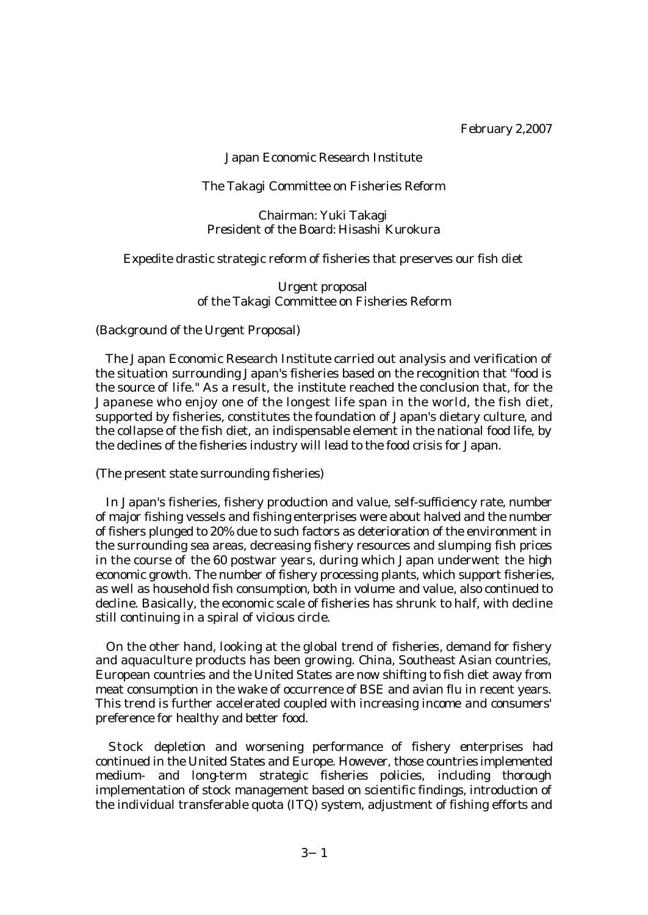February 2,2007

## Japan Economic Research Institute

### The Takagi Committee on Fisheries Reform

Chairman: Yuki Takagi President of the Board: Hisashi Kurokura

Expedite drastic strategic reform of fisheries that preserves our fish diet

Urgent proposal of the Takagi Committee on Fisheries Reform

(Background of the Urgent Proposal)

 The Japan Economic Research Institute carried out analysis and verification of the situation surrounding Japan's fisheries based on the recognition that "food is the source of life." As a result, the institute reached the conclusion that, for the Japanese who enjoy one of the longest life span in the world, the fish diet, supported by fisheries, constitutes the foundation of Japan's dietary culture, and the collapse of the fish diet, an indispensable element in the national food life, by the declines of the fisheries industry will lead to the food crisis for Japan.

(The present state surrounding fisheries)

 In Japan's fisheries, fishery production and value, self-sufficiency rate, number of major fishing vessels and fishing enterprises were about halved and the number of fishers plunged to 20% due to such factors as deterioration of the environment in the surrounding sea areas, decreasing fishery resources and slumping fish prices in the course of the 60 postwar years, during which Japan underwent the high economic growth. The number of fishery processing plants, which support fisheries, as well as household fish consumption, both in volume and value, also continued to decline. Basically, the economic scale of fisheries has shrunk to half, with decline still continuing in a spiral of vicious circle.

 On the other hand, looking at the global trend of fisheries, demand for fishery and aquaculture products has been growing. China, Southeast Asian countries, European countries and the United States are now shifting to fish diet away from meat consumption in the wake of occurrence of BSE and avian flu in recent years. This trend is further accelerated coupled with increasing income and consumers' preference for healthy and better food.

 Stock depletion and worsening performance of fishery enterprises had continued in the United States and Europe. However, those countries implemented medium- and long-term strategic fisheries policies, including thorough implementation of stock management based on scientific findings, introduction of the individual transferable quota (ITQ) system, adjustment of fishing efforts and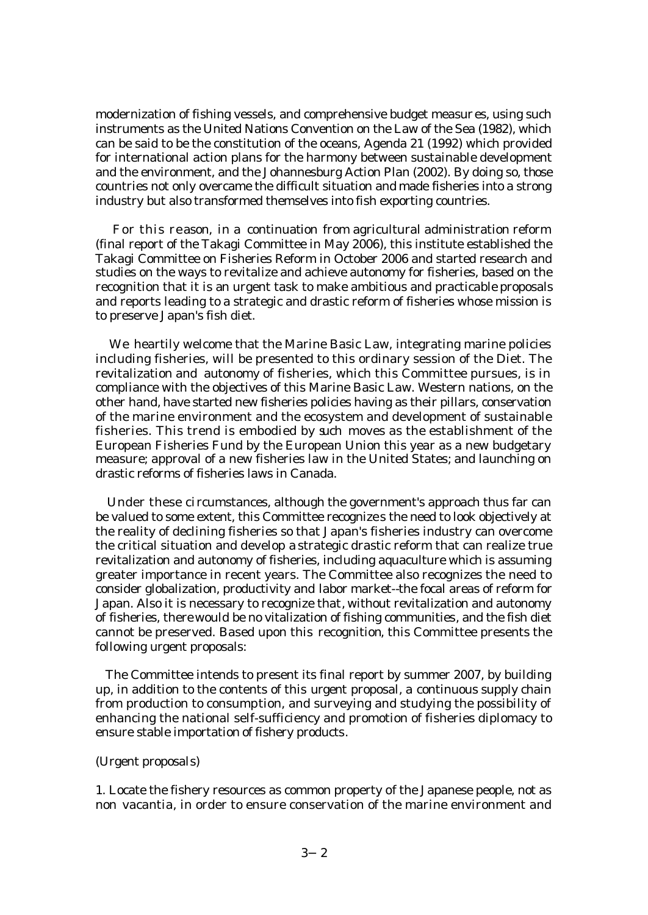modernization of fishing vessels, and comprehensive budget measures, using such instruments as the United Nations Convention on the Law of the Sea (1982), which can be said to be the constitution of the oceans, Agenda 21 (1992) which provided for international action plans for the harmony between sustainable development and the environment, and the Johannesburg Action Plan (2002). By doing so, those countries not only overcame the difficult situation and made fisheries into a strong industry but also transformed themselves into fish exporting countries.

 For this re ason, in a continuation from agricultural administration reform (final report of the Takagi Committee in May 2006), this institute established the Takagi Committee on Fisheries Reform in October 2006 and started research and studies on the ways to revitalize and achieve autonomy for fisheries, based on the recognition that it is an urgent task to make ambitious and practicable proposals and reports leading to a strategic and drastic reform of fisheries whose mission is to preserve Japan's fish diet.

 We heartily welcome that the Marine Basic Law, integrating marine policies including fisheries, will be presented to this ordinary session of the Diet. The revitalization and autonomy of fisheries, which this Committee pursues, is in compliance with the objectives of this Marine Basic Law. Western nations, on the other hand, have started new fisheries policies having as their pillars, conservation of the marine environment and the ecosystem and development of sustainable fisheries. This trend is embodied by such moves as the establishment of the European Fisheries Fund by the European Union this year as a new budgetary measure; approval of a new fisheries law in the United States; and launching on drastic reforms of fisheries laws in Canada.

 Under these circumstances, although the government's approach thus far can be valued to some extent, this Committee recognizes the need to look objectively at the reality of declining fisheries so that Japan's fisheries industry can overcome the critical situation and develop a strategic drastic reform that can realize true revitalization and autonomy of fisheries, including aquaculture which is assuming greater importance in recent years. The Committee also recognizes the need to consider globalization, productivity and labor market--the focal areas of reform for Japan. Also it is necessary to recognize that, without revitalization and autonomy of fisheries, there would be no vitalization of fishing communities, and the fish diet cannot be preserved. Based upon this recognition, this Committee presents the following urgent proposals:

 The Committee intends to present its final report by summer 2007, by building up, in addition to the contents of this urgent proposal, a continuous supply chain from production to consumption, and surveying and studying the possibility of enhancing the national self-sufficiency and promotion of fisheries diplomacy to ensure stable importation of fishery products.

### (Urgent proposals)

1. Locate the fishery resources as common property of the Japanese people, not as non vacantia, in order to ensure conservation of the marine environment and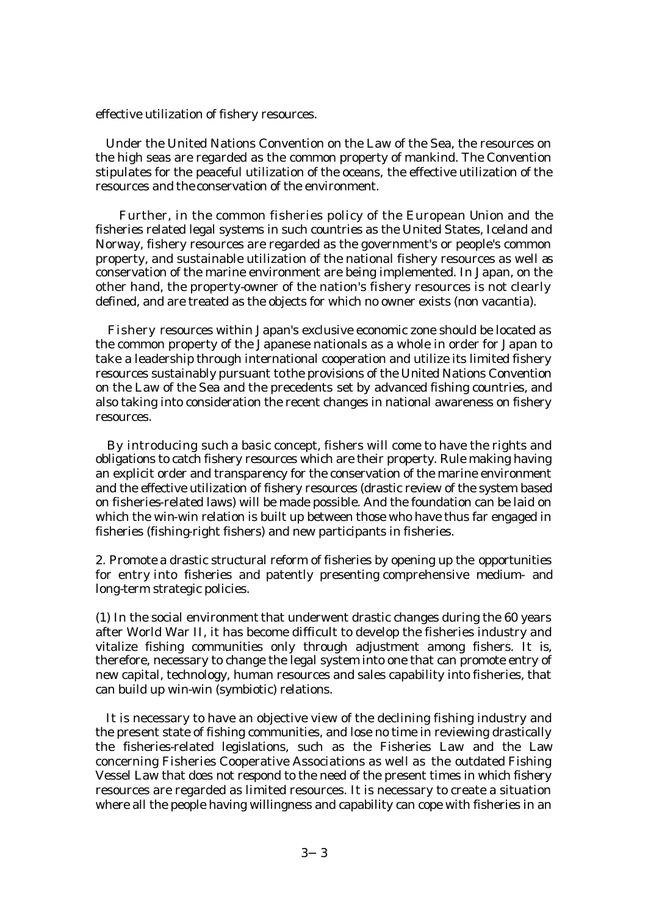effective utilization of fishery resources.

 Under the United Nations Convention on the Law of the Sea, the resources on the high seas are regarded as the common property of mankind. The Convention stipulates for the peaceful utilization of the oceans, the effective utilization of the resources and the conservation of the environment.

 Further, in the common fisheries policy of the European Union and the fisheries related legal systems in such countries as the United States, Iceland and Norway, fishery resources are regarded as the government's or people's common property, and sustainable utilization of the national fishery resources as well as conservation of the marine environment are being implemented. In Japan, on the other hand, the property-owner of the nation's fishery resources is not clearly defined, and are treated as the objects for which no owner exists (non vacantia).

 Fishery resources within Japan's exclusive economic zone should be located as the common property of the Japanese nationals as a whole in order for Japan to take a leadership through international cooperation and utilize its limited fishery resources sustainably pursuant to the provisions of the United Nations Convention on the Law of the Sea and the precedents set by advanced fishing countries, and also taking into consideration the recent changes in national awareness on fishery resources.

 By introducing such a basic concept, fishers will come to have the rights and obligations to catch fishery resources which are their property. Rule making having an explicit order and transparency for the conservation of the marine environment and the effective utilization of fishery resources (drastic review of the system based on fisheries-related laws) will be made possible. And the foundation can be laid on which the win-win relation is built up between those who have thus far engaged in fisheries (fishing-right fishers) and new participants in fisheries.

2. Promote a drastic structural reform of fisheries by opening up the opportunities for entry into fisheries and patently presenting comprehensive medium- and long-term strategic policies.

(1) In the social environment that underwent drastic changes during the 60 years after World War II, it has become difficult to develop the fisheries industry and vitalize fishing communities only through adjustment among fishers. It is, therefore, necessary to change the legal system into one that can promote entry of new capital, technology, human resources and sales capability into fisheries, that can build up win-win (symbiotic) relations.

 It is necessary to have an objective view of the declining fishing industry and the present state of fishing communities, and lose no time in reviewing drastically the fisheries-related legislations, such as the Fisheries Law and the Law concerning Fisheries Cooperative Associations as well as the outdated Fishing Vessel Law that does not respond to the need of the present times in which fishery resources are regarded as limited resources. It is necessary to create a situation where all the people having willingness and capability can cope with fisheries in an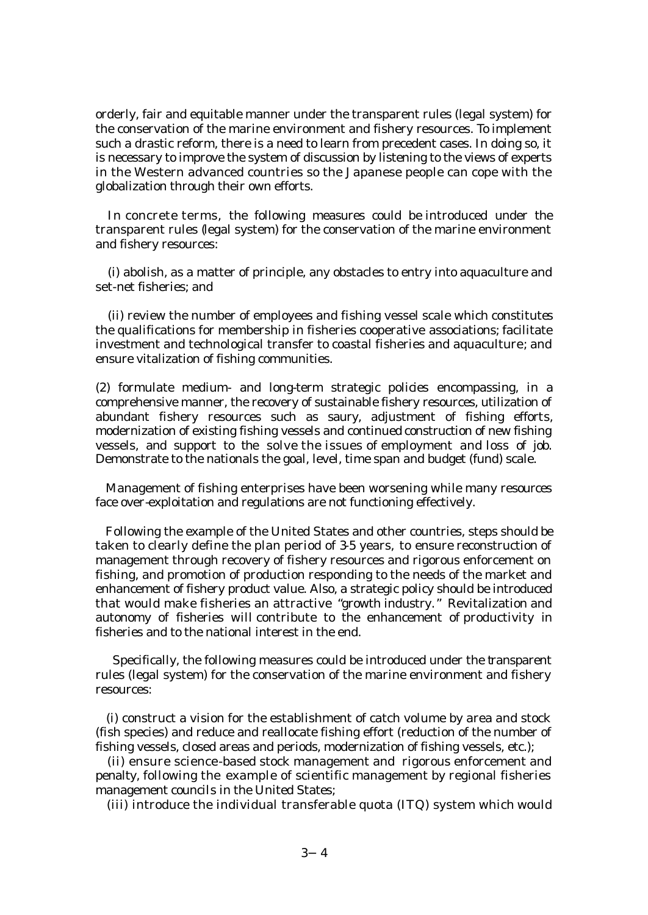orderly, fair and equitable manner under the transparent rules (legal system) for the conservation of the marine environment and fishery resources. To implement such a drastic reform, there is a need to learn from precedent cases. In doing so, it is necessary to improve the system of discussion by listening to the views of experts in the Western advanced countries so the Japanese people can cope with the globalization through their own efforts.

 In concrete terms, the following measures could be introduced under the transparent rules (legal system) for the conservation of the marine environment and fishery resources:

(i) abolish, as a matter of principle, any obstacles to entry into aquaculture and set-net fisheries; and

(ii) review the number of employees and fishing vessel scale which constitutes the qualifications for membership in fisheries cooperative associations; facilitate investment and technological transfer to coastal fisheries and aquaculture; and ensure vitalization of fishing communities.

(2) formulate medium- and long-term strategic policies encompassing, in a comprehensive manner, the recovery of sustainable fishery resources, utilization of abundant fishery resources such as saury, adjustment of fishing efforts, modernization of existing fishing vessels and continued construction of new fishing vessels, and support to the solve the issues of employment and loss of job. Demonstrate to the nationals the goal, level, time span and budget (fund) scale.

 Management of fishing enterprises have been worsening while many resources face over-exploitation and regulations are not functioning effectively.

 Following the example of the United States and other countries, steps should be taken to clearly define the plan period of 3-5 years, to ensure reconstruction of management through recovery of fishery resources and rigorous enforcement on fishing, and promotion of production responding to the needs of the market and enhancement of fishery product value. Also, a strategic policy should be introduced that would make fisheries an attractive "growth industry." Revitalization and autonomy of fisheries will contribute to the enhancement of productivity in fisheries and to the national interest in the end.

 Specifically, the following measures could be introduced under the transparent rules (legal system) for the conservation of the marine environment and fishery resources:

 (i) construct a vision for the establishment of catch volume by area and stock (fish species) and reduce and reallocate fishing effort (reduction of the number of fishing vessels, closed areas and periods, modernization of fishing vessels, etc.);

 (ii) ensure science-based stock management and rigorous enforcement and penalty, following the example of scientific management by regional fisheries management councils in the United States;

(iii) introduce the individual transferable quota (ITQ) system which would